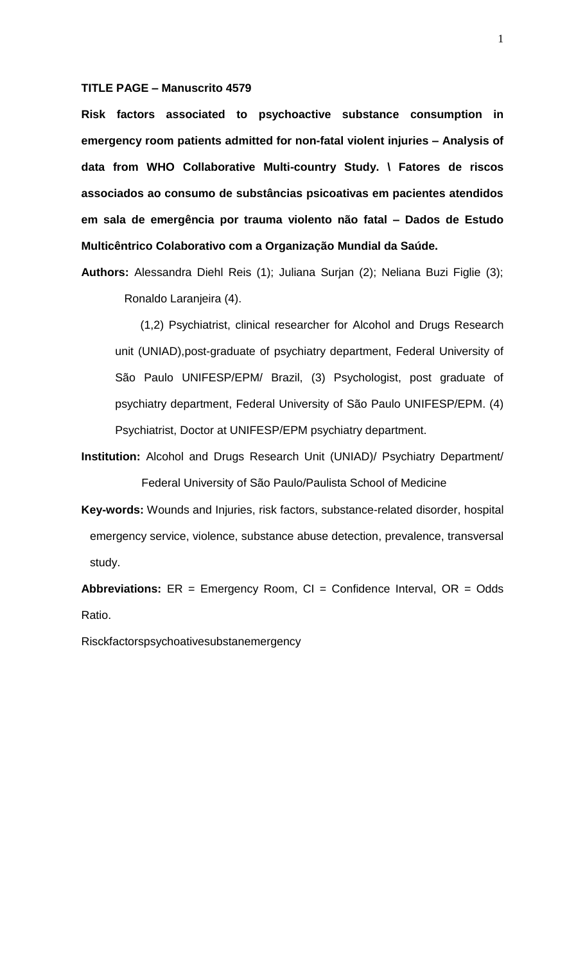#### **TITLE PAGE – Manuscrito 4579**

**Risk factors associated to psychoactive substance consumption in emergency room patients admitted for non-fatal violent injuries – Analysis of data from WHO Collaborative Multi-country Study. \ Fatores de riscos associados ao consumo de substâncias psicoativas em pacientes atendidos em sala de emergência por trauma violento não fatal – Dados de Estudo Multicêntrico Colaborativo com a Organização Mundial da Saúde.**

**Authors:** Alessandra Diehl Reis (1); Juliana Surjan (2); Neliana Buzi Figlie (3); Ronaldo Laranjeira (4).

(1,2) Psychiatrist, clinical researcher for Alcohol and Drugs Research unit (UNIAD),post-graduate of psychiatry department, Federal University of São Paulo UNIFESP/EPM/ Brazil, (3) Psychologist, post graduate of psychiatry department, Federal University of São Paulo UNIFESP/EPM. (4) Psychiatrist, Doctor at UNIFESP/EPM psychiatry department.

- **Institution:** Alcohol and Drugs Research Unit (UNIAD)/ Psychiatry Department/ Federal University of São Paulo/Paulista School of Medicine
- **Key-words:** Wounds and Injuries, risk factors, substance-related disorder, hospital emergency service, violence, substance abuse detection, prevalence, transversal study.

**Abbreviations:** ER = Emergency Room, CI = Confidence Interval, OR = Odds Ratio.

Risckfactorspsychoativesubstanemergency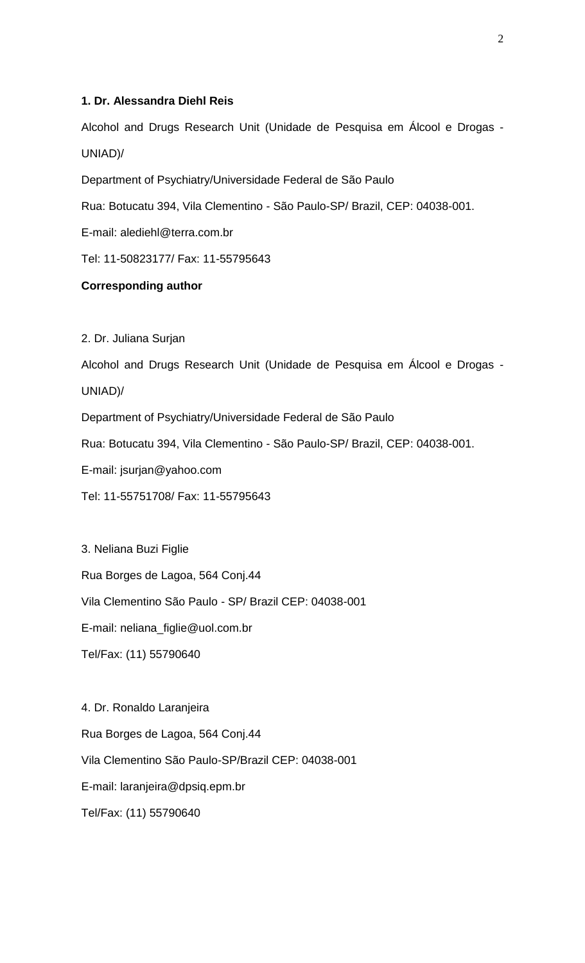# **1. Dr. Alessandra Diehl Reis**

Alcohol and Drugs Research Unit (Unidade de Pesquisa em Álcool e Drogas - UNIAD)/

Department of Psychiatry/Universidade Federal de São Paulo

Rua: Botucatu 394, Vila Clementino - São Paulo-SP/ Brazil, CEP: 04038-001.

E-mail: alediehl@terra.com.br

Tel: 11-50823177/ Fax: 11-55795643

# **Corresponding author**

2. Dr. Juliana Surjan

Alcohol and Drugs Research Unit (Unidade de Pesquisa em Álcool e Drogas - UNIAD)/

Department of Psychiatry/Universidade Federal de São Paulo

Rua: Botucatu 394, Vila Clementino - São Paulo-SP/ Brazil, CEP: 04038-001.

E-mail: jsurjan@yahoo.com

Tel: 11-55751708/ Fax: 11-55795643

3. Neliana Buzi Figlie Rua Borges de Lagoa, 564 Conj.44 Vila Clementino São Paulo - SP/ Brazil CEP: 04038-001 E-mail: neliana\_figlie@uol.com.br Tel/Fax: (11) 55790640

4. Dr. Ronaldo Laranjeira Rua Borges de Lagoa, 564 Conj.44 Vila Clementino São Paulo-SP/Brazil CEP: 04038-001 E-mail: laranjeira@dpsiq.epm.br Tel/Fax: (11) 55790640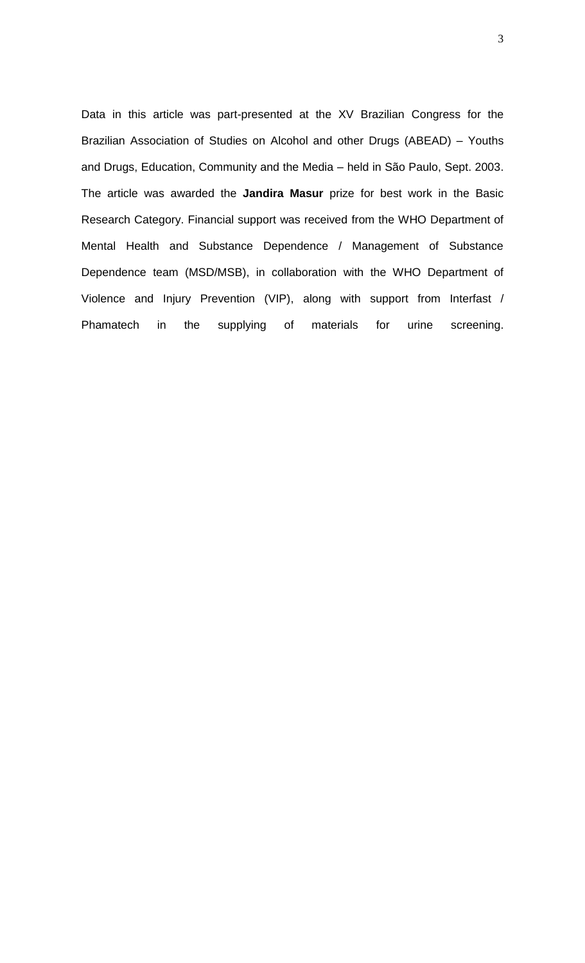Data in this article was part-presented at the XV Brazilian Congress for the Brazilian Association of Studies on Alcohol and other Drugs (ABEAD) – Youths and Drugs, Education, Community and the Media – held in São Paulo, Sept. 2003. The article was awarded the **Jandira Masur** prize for best work in the Basic Research Category. Financial support was received from the WHO Department of Mental Health and Substance Dependence / Management of Substance Dependence team (MSD/MSB), in collaboration with the WHO Department of Violence and Injury Prevention (VIP), along with support from Interfast / Phamatech in the supplying of materials for urine screening.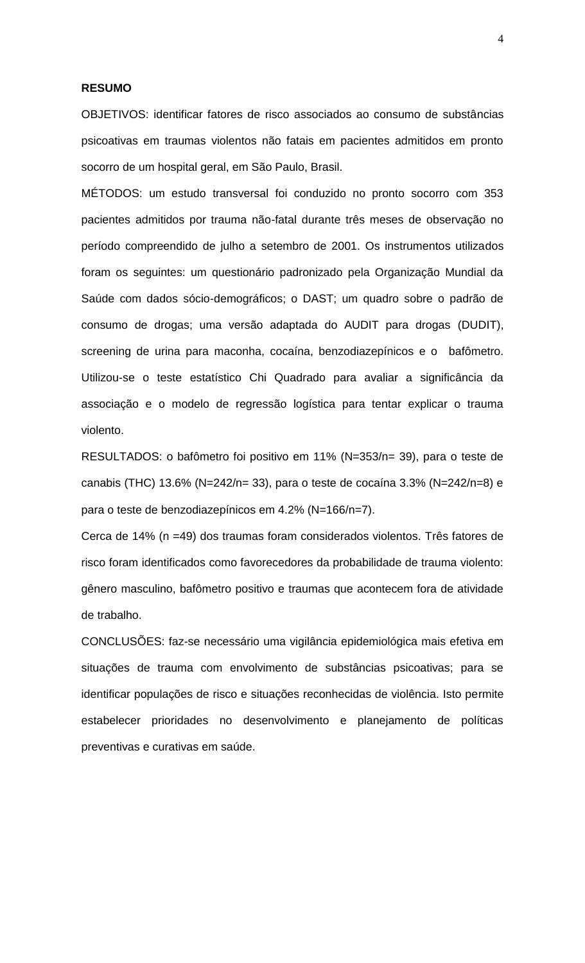#### **RESUMO**

OBJETIVOS: identificar fatores de risco associados ao consumo de substâncias psicoativas em traumas violentos não fatais em pacientes admitidos em pronto socorro de um hospital geral, em São Paulo, Brasil.

MÉTODOS: um estudo transversal foi conduzido no pronto socorro com 353 pacientes admitidos por trauma não-fatal durante três meses de observação no período compreendido de julho a setembro de 2001. Os instrumentos utilizados foram os seguintes: um questionário padronizado pela Organização Mundial da Saúde com dados sócio-demográficos; o DAST; um quadro sobre o padrão de consumo de drogas; uma versão adaptada do AUDIT para drogas (DUDIT), screening de urina para maconha, cocaína, benzodiazepínicos e o bafômetro. Utilizou-se o teste estatístico Chi Quadrado para avaliar a significância da associação e o modelo de regressão logística para tentar explicar o trauma violento.

RESULTADOS: o bafômetro foi positivo em 11% (N=353/n= 39), para o teste de canabis (THC) 13.6% (N=242/n= 33), para o teste de cocaína 3.3% (N=242/n=8) e para o teste de benzodiazepínicos em 4.2% (N=166/n=7).

Cerca de 14% (n =49) dos traumas foram considerados violentos. Três fatores de risco foram identificados como favorecedores da probabilidade de trauma violento: gênero masculino, bafômetro positivo e traumas que acontecem fora de atividade de trabalho.

CONCLUSÕES: faz-se necessário uma vigilância epidemiológica mais efetiva em situações de trauma com envolvimento de substâncias psicoativas; para se identificar populações de risco e situações reconhecidas de violência. Isto permite estabelecer prioridades no desenvolvimento e planejamento de políticas preventivas e curativas em saúde.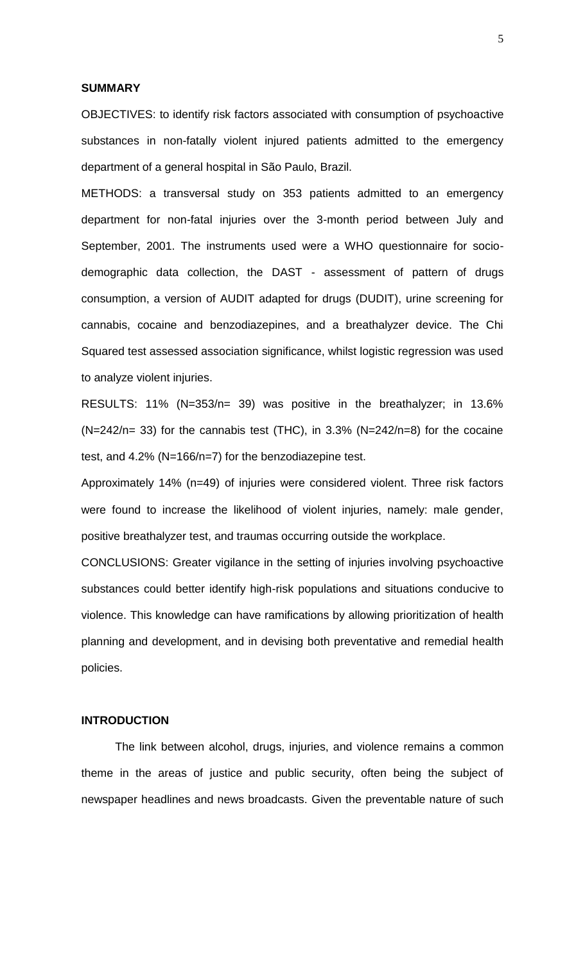## **SUMMARY**

OBJECTIVES: to identify risk factors associated with consumption of psychoactive substances in non-fatally violent injured patients admitted to the emergency department of a general hospital in São Paulo, Brazil.

METHODS: a transversal study on 353 patients admitted to an emergency department for non-fatal injuries over the 3-month period between July and September, 2001. The instruments used were a WHO questionnaire for sociodemographic data collection, the DAST - assessment of pattern of drugs consumption, a version of AUDIT adapted for drugs (DUDIT), urine screening for cannabis, cocaine and benzodiazepines, and a breathalyzer device. The Chi Squared test assessed association significance, whilst logistic regression was used to analyze violent injuries.

RESULTS: 11% (N=353/n= 39) was positive in the breathalyzer; in 13.6%  $(N=242/n= 33)$  for the cannabis test (THC), in 3.3% (N=242/n=8) for the cocaine test, and 4.2% (N=166/n=7) for the benzodiazepine test.

Approximately 14% (n=49) of injuries were considered violent. Three risk factors were found to increase the likelihood of violent injuries, namely: male gender, positive breathalyzer test, and traumas occurring outside the workplace.

CONCLUSIONS: Greater vigilance in the setting of injuries involving psychoactive substances could better identify high-risk populations and situations conducive to violence. This knowledge can have ramifications by allowing prioritization of health planning and development, and in devising both preventative and remedial health policies.

# **INTRODUCTION**

The link between alcohol, drugs, injuries, and violence remains a common theme in the areas of justice and public security, often being the subject of newspaper headlines and news broadcasts. Given the preventable nature of such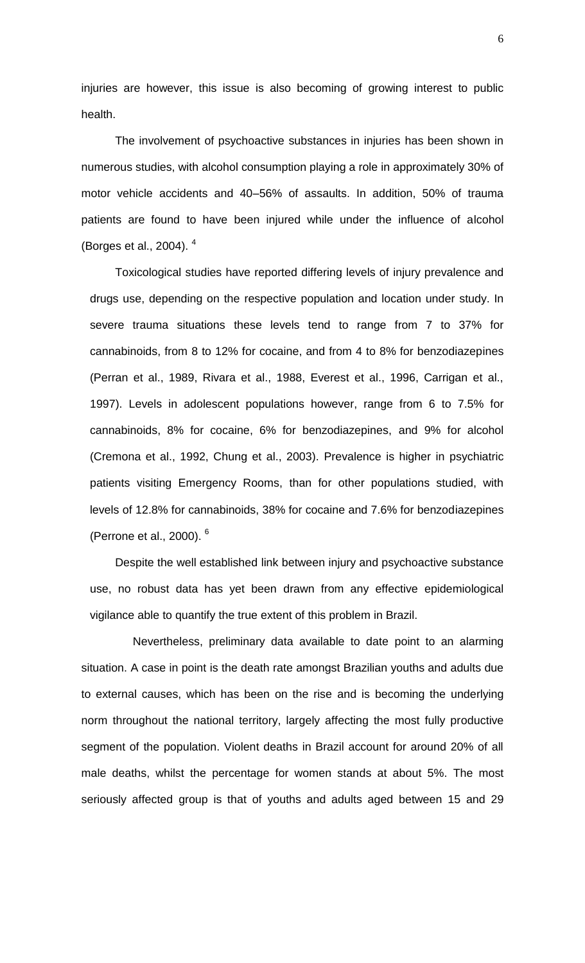injuries are however, this issue is also becoming of growing interest to public health.

The involvement of psychoactive substances in injuries has been shown in numerous studies, with alcohol consumption playing a role in approximately 30% of motor vehicle accidents and 40–56% of assaults. In addition, 50% of trauma patients are found to have been injured while under the influence of alcohol (Borges et al., 2004). <sup>4</sup>

Toxicological studies have reported differing levels of injury prevalence and drugs use, depending on the respective population and location under study. In severe trauma situations these levels tend to range from 7 to 37% for cannabinoids, from 8 to 12% for cocaine, and from 4 to 8% for benzodiazepines (Perran et al., 1989, Rivara et al., 1988, Everest et al., 1996, Carrigan et al., 1997). Levels in adolescent populations however, range from 6 to 7.5% for cannabinoids, 8% for cocaine, 6% for benzodiazepines, and 9% for alcohol (Cremona et al., 1992, Chung et al., 2003). Prevalence is higher in psychiatric patients visiting Emergency Rooms, than for other populations studied, with levels of 12.8% for cannabinoids, 38% for cocaine and 7.6% for benzodiazepines (Perrone et al., 2000). <sup>6</sup>

Despite the well established link between injury and psychoactive substance use, no robust data has yet been drawn from any effective epidemiological vigilance able to quantify the true extent of this problem in Brazil.

Nevertheless, preliminary data available to date point to an alarming situation. A case in point is the death rate amongst Brazilian youths and adults due to external causes, which has been on the rise and is becoming the underlying norm throughout the national territory, largely affecting the most fully productive segment of the population. Violent deaths in Brazil account for around 20% of all male deaths, whilst the percentage for women stands at about 5%. The most seriously affected group is that of youths and adults aged between 15 and 29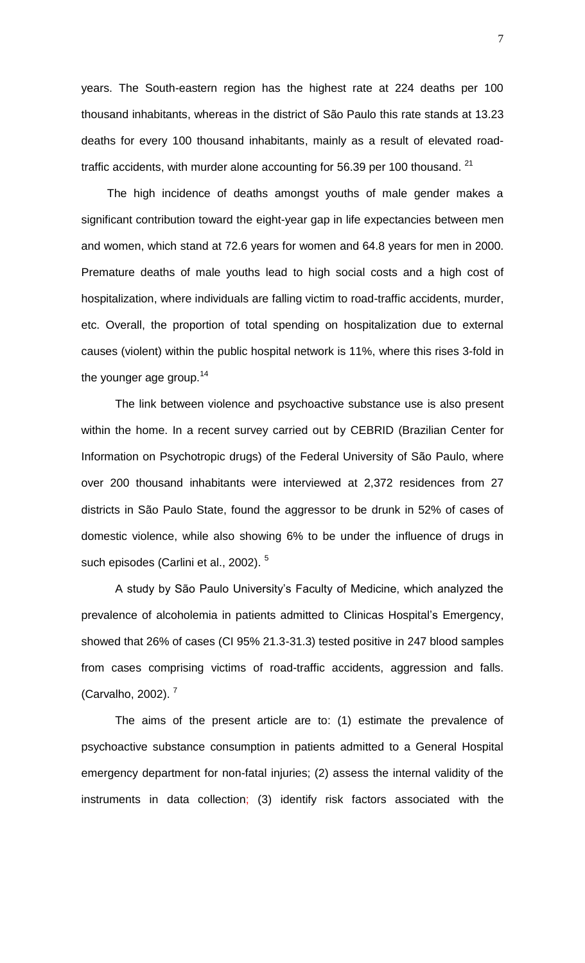years. The South-eastern region has the highest rate at 224 deaths per 100 thousand inhabitants, whereas in the district of São Paulo this rate stands at 13.23 deaths for every 100 thousand inhabitants, mainly as a result of elevated roadtraffic accidents, with murder alone accounting for 56.39 per 100 thousand. <sup>21</sup>

The high incidence of deaths amongst youths of male gender makes a significant contribution toward the eight-year gap in life expectancies between men and women, which stand at 72.6 years for women and 64.8 years for men in 2000. Premature deaths of male youths lead to high social costs and a high cost of hospitalization, where individuals are falling victim to road-traffic accidents, murder, etc. Overall, the proportion of total spending on hospitalization due to external causes (violent) within the public hospital network is 11%, where this rises 3-fold in the younger age group. $14$ 

The link between violence and psychoactive substance use is also present within the home. In a recent survey carried out by CEBRID (Brazilian Center for Information on Psychotropic drugs) of the Federal University of São Paulo, where over 200 thousand inhabitants were interviewed at 2,372 residences from 27 districts in São Paulo State, found the aggressor to be drunk in 52% of cases of domestic violence, while also showing 6% to be under the influence of drugs in such episodes (Carlini et al., 2002).<sup>5</sup>

A study by São Paulo University's Faculty of Medicine, which analyzed the prevalence of alcoholemia in patients admitted to Clinicas Hospital's Emergency, showed that 26% of cases (CI 95% 21.3-31.3) tested positive in 247 blood samples from cases comprising victims of road-traffic accidents, aggression and falls. (Carvalho, 2002). <sup>7</sup>

The aims of the present article are to: (1) estimate the prevalence of psychoactive substance consumption in patients admitted to a General Hospital emergency department for non-fatal injuries; (2) assess the internal validity of the instruments in data collection; (3) identify risk factors associated with the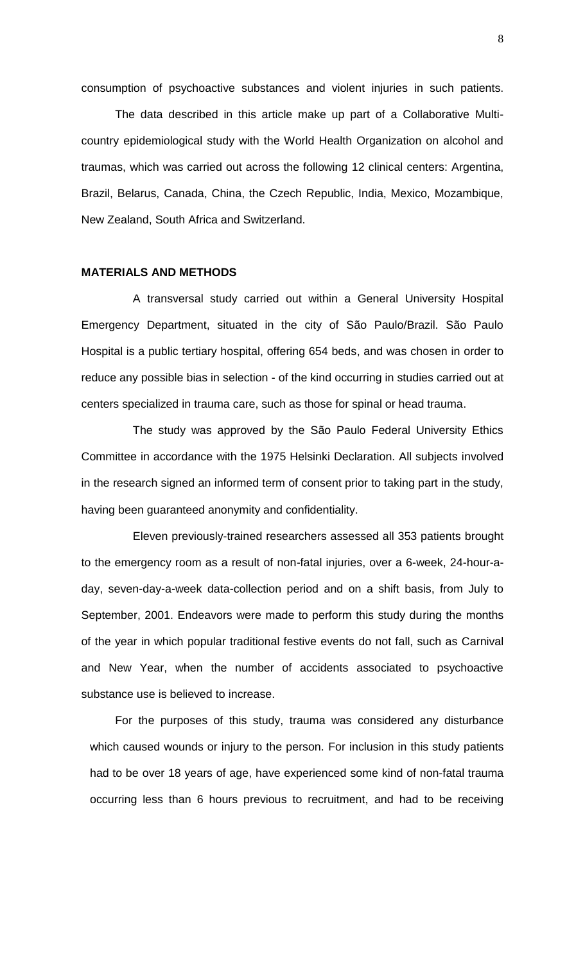consumption of psychoactive substances and violent injuries in such patients.

The data described in this article make up part of a Collaborative Multicountry epidemiological study with the World Health Organization on alcohol and traumas, which was carried out across the following 12 clinical centers: Argentina, Brazil, Belarus, Canada, China, the Czech Republic, India, Mexico, Mozambique, New Zealand, South Africa and Switzerland.

#### **MATERIALS AND METHODS**

A transversal study carried out within a General University Hospital Emergency Department, situated in the city of São Paulo/Brazil. São Paulo Hospital is a public tertiary hospital, offering 654 beds, and was chosen in order to reduce any possible bias in selection - of the kind occurring in studies carried out at centers specialized in trauma care, such as those for spinal or head trauma.

The study was approved by the São Paulo Federal University Ethics Committee in accordance with the 1975 Helsinki Declaration. All subjects involved in the research signed an informed term of consent prior to taking part in the study, having been guaranteed anonymity and confidentiality.

Eleven previously-trained researchers assessed all 353 patients brought to the emergency room as a result of non-fatal injuries, over a 6-week, 24-hour-aday, seven-day-a-week data-collection period and on a shift basis, from July to September, 2001. Endeavors were made to perform this study during the months of the year in which popular traditional festive events do not fall, such as Carnival and New Year, when the number of accidents associated to psychoactive substance use is believed to increase.

For the purposes of this study, trauma was considered any disturbance which caused wounds or injury to the person. For inclusion in this study patients had to be over 18 years of age, have experienced some kind of non-fatal trauma occurring less than 6 hours previous to recruitment, and had to be receiving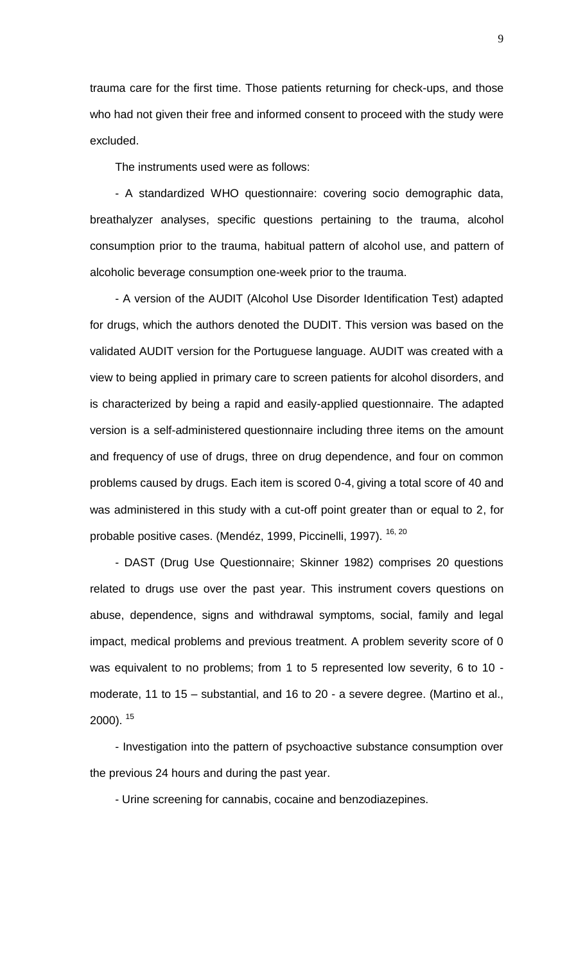trauma care for the first time. Those patients returning for check-ups, and those who had not given their free and informed consent to proceed with the study were excluded.

The instruments used were as follows:

- A standardized WHO questionnaire: covering socio demographic data, breathalyzer analyses, specific questions pertaining to the trauma, alcohol consumption prior to the trauma, habitual pattern of alcohol use, and pattern of alcoholic beverage consumption one-week prior to the trauma.

- A version of the AUDIT (Alcohol Use Disorder Identification Test) adapted for drugs, which the authors denoted the DUDIT. This version was based on the validated AUDIT version for the Portuguese language. AUDIT was created with a view to being applied in primary care to screen patients for alcohol disorders, and is characterized by being a rapid and easily-applied questionnaire. The adapted version is a self-administered questionnaire including three items on the amount and frequency of use of drugs, three on drug dependence, and four on common problems caused by drugs. Each item is scored 0-4, giving a total score of 40 and was administered in this study with a cut-off point greater than or equal to 2, for probable positive cases. (Mendéz, 1999, Piccinelli, 1997). <sup>16, 20</sup>

- DAST (Drug Use Questionnaire; Skinner 1982) comprises 20 questions related to drugs use over the past year. This instrument covers questions on abuse, dependence, signs and withdrawal symptoms, social, family and legal impact, medical problems and previous treatment. A problem severity score of 0 was equivalent to no problems; from 1 to 5 represented low severity, 6 to 10 moderate, 11 to 15 – substantial, and 16 to 20 - a severe degree. (Martino et al.,  $2000$ ).  $15$ 

- Investigation into the pattern of psychoactive substance consumption over the previous 24 hours and during the past year.

- Urine screening for cannabis, cocaine and benzodiazepines.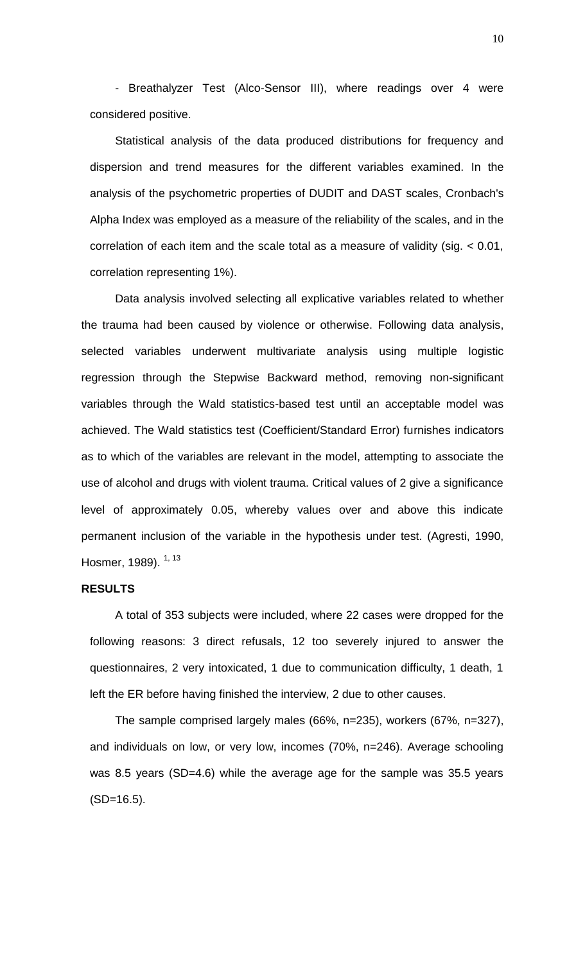- Breathalyzer Test (Alco-Sensor III), where readings over 4 were considered positive.

Statistical analysis of the data produced distributions for frequency and dispersion and trend measures for the different variables examined. In the analysis of the psychometric properties of DUDIT and DAST scales, Cronbach's Alpha Index was employed as a measure of the reliability of the scales, and in the correlation of each item and the scale total as a measure of validity (sig. < 0.01, correlation representing 1%).

Data analysis involved selecting all explicative variables related to whether the trauma had been caused by violence or otherwise. Following data analysis, selected variables underwent multivariate analysis using multiple logistic regression through the Stepwise Backward method, removing non-significant variables through the Wald statistics-based test until an acceptable model was achieved. The Wald statistics test (Coefficient/Standard Error) furnishes indicators as to which of the variables are relevant in the model, attempting to associate the use of alcohol and drugs with violent trauma. Critical values of 2 give a significance level of approximately 0.05, whereby values over and above this indicate permanent inclusion of the variable in the hypothesis under test. (Agresti, 1990, Hosmer, 1989). <sup>1, 13</sup>

# **RESULTS**

A total of 353 subjects were included, where 22 cases were dropped for the following reasons: 3 direct refusals, 12 too severely injured to answer the questionnaires, 2 very intoxicated, 1 due to communication difficulty, 1 death, 1 left the ER before having finished the interview, 2 due to other causes.

The sample comprised largely males (66%, n=235), workers (67%, n=327), and individuals on low, or very low, incomes (70%, n=246). Average schooling was 8.5 years (SD=4.6) while the average age for the sample was 35.5 years (SD=16.5).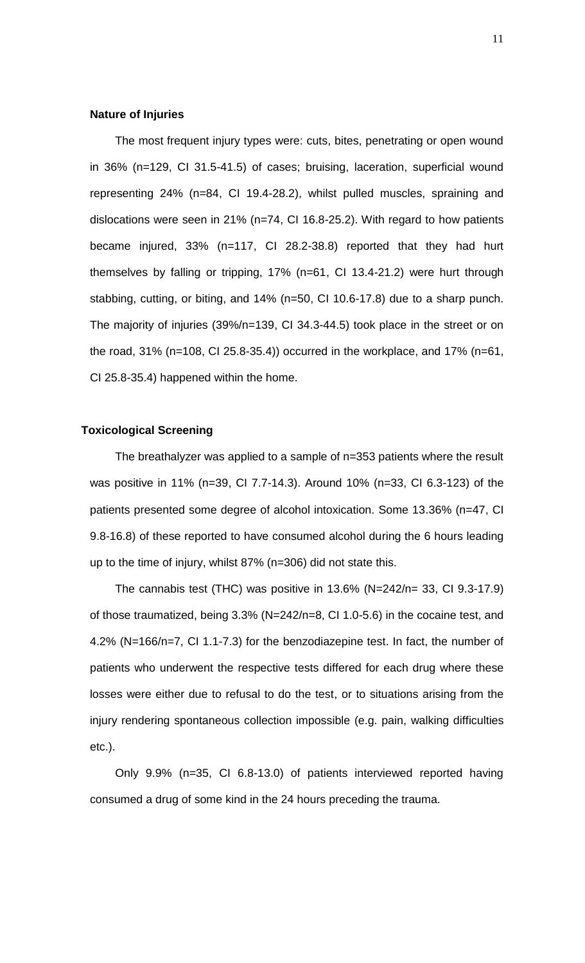### **Nature of Injuries**

The most frequent injury types were: cuts, bites, penetrating or open wound in 36% (n=129, CI 31.5-41.5) of cases; bruising, laceration, superficial wound representing 24% (n=84, CI 19.4-28.2), whilst pulled muscles, spraining and dislocations were seen in 21% (n=74, CI 16.8-25.2). With regard to how patients became injured, 33% (n=117, CI 28.2-38.8) reported that they had hurt themselves by falling or tripping, 17% (n=61, CI 13.4-21.2) were hurt through stabbing, cutting, or biting, and 14% (n=50, CI 10.6-17.8) due to a sharp punch. The majority of injuries (39%/n=139, CI 34.3-44.5) took place in the street or on the road, 31% (n=108, CI 25.8-35.4)) occurred in the workplace, and 17% (n=61, CI 25.8-35.4) happened within the home.

## **Toxicological Screening**

The breathalyzer was applied to a sample of n=353 patients where the result was positive in 11% (n=39, CI 7.7-14.3). Around 10% (n=33, CI 6.3-123) of the patients presented some degree of alcohol intoxication. Some 13.36% (n=47, CI 9.8-16.8) of these reported to have consumed alcohol during the 6 hours leading up to the time of injury, whilst 87% (n=306) did not state this.

The cannabis test (THC) was positive in 13.6% (N=242/n= 33, CI 9.3-17.9) of those traumatized, being 3.3% (N=242/n=8, CI 1.0-5.6) in the cocaine test, and 4.2% (N=166/n=7, CI 1.1-7.3) for the benzodiazepine test. In fact, the number of patients who underwent the respective tests differed for each drug where these losses were either due to refusal to do the test, or to situations arising from the injury rendering spontaneous collection impossible (e.g. pain, walking difficulties etc.).

Only 9.9% (n=35, CI 6.8-13.0) of patients interviewed reported having consumed a drug of some kind in the 24 hours preceding the trauma.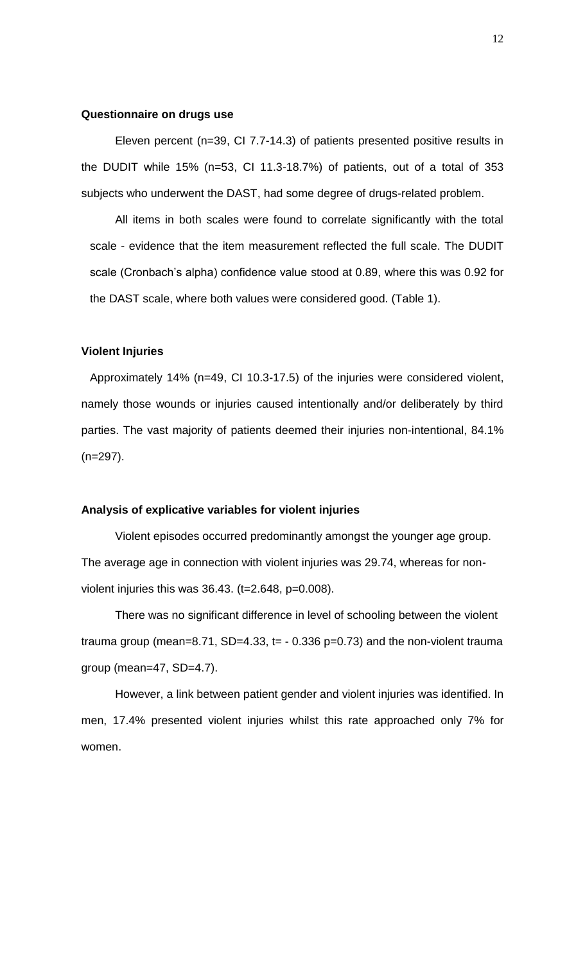#### **Questionnaire on drugs use**

Eleven percent (n=39, CI 7.7-14.3) of patients presented positive results in the DUDIT while 15% (n=53, CI 11.3-18.7%) of patients, out of a total of 353 subjects who underwent the DAST, had some degree of drugs-related problem.

All items in both scales were found to correlate significantly with the total scale - evidence that the item measurement reflected the full scale. The DUDIT scale (Cronbach's alpha) confidence value stood at 0.89, where this was 0.92 for the DAST scale, where both values were considered good. (Table 1).

#### **Violent Injuries**

Approximately 14% (n=49, CI 10.3-17.5) of the injuries were considered violent, namely those wounds or injuries caused intentionally and/or deliberately by third parties. The vast majority of patients deemed their injuries non-intentional, 84.1% (n=297).

## **Analysis of explicative variables for violent injuries**

Violent episodes occurred predominantly amongst the younger age group. The average age in connection with violent injuries was 29.74, whereas for nonviolent injuries this was 36.43. (t=2.648, p=0.008).

There was no significant difference in level of schooling between the violent trauma group (mean=8.71, SD=4.33,  $t = -0.336$  p=0.73) and the non-violent trauma group (mean=47, SD=4.7).

However, a link between patient gender and violent injuries was identified. In men, 17.4% presented violent injuries whilst this rate approached only 7% for women.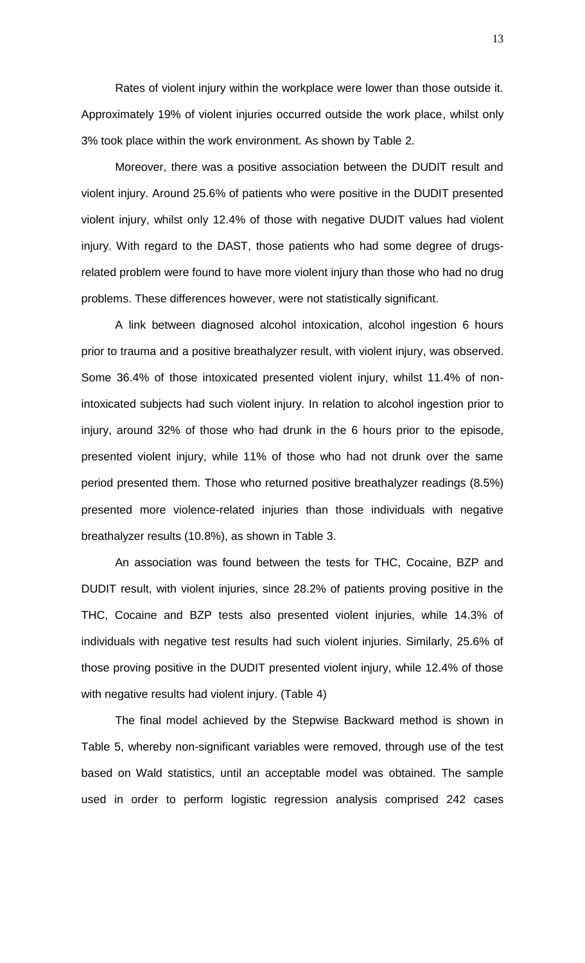Rates of violent injury within the workplace were lower than those outside it. Approximately 19% of violent injuries occurred outside the work place, whilst only 3% took place within the work environment. As shown by Table 2.

Moreover, there was a positive association between the DUDIT result and violent injury. Around 25.6% of patients who were positive in the DUDIT presented violent injury, whilst only 12.4% of those with negative DUDIT values had violent injury. With regard to the DAST, those patients who had some degree of drugsrelated problem were found to have more violent injury than those who had no drug problems. These differences however, were not statistically significant.

A link between diagnosed alcohol intoxication, alcohol ingestion 6 hours prior to trauma and a positive breathalyzer result, with violent injury, was observed. Some 36.4% of those intoxicated presented violent injury, whilst 11.4% of nonintoxicated subjects had such violent injury. In relation to alcohol ingestion prior to injury, around 32% of those who had drunk in the 6 hours prior to the episode, presented violent injury, while 11% of those who had not drunk over the same period presented them. Those who returned positive breathalyzer readings (8.5%) presented more violence-related injuries than those individuals with negative breathalyzer results (10.8%), as shown in Table 3.

An association was found between the tests for THC, Cocaine, BZP and DUDIT result, with violent injuries, since 28.2% of patients proving positive in the THC, Cocaine and BZP tests also presented violent injuries, while 14.3% of individuals with negative test results had such violent injuries. Similarly, 25.6% of those proving positive in the DUDIT presented violent injury, while 12.4% of those with negative results had violent injury. (Table 4)

The final model achieved by the Stepwise Backward method is shown in Table 5, whereby non-significant variables were removed, through use of the test based on Wald statistics, until an acceptable model was obtained. The sample used in order to perform logistic regression analysis comprised 242 cases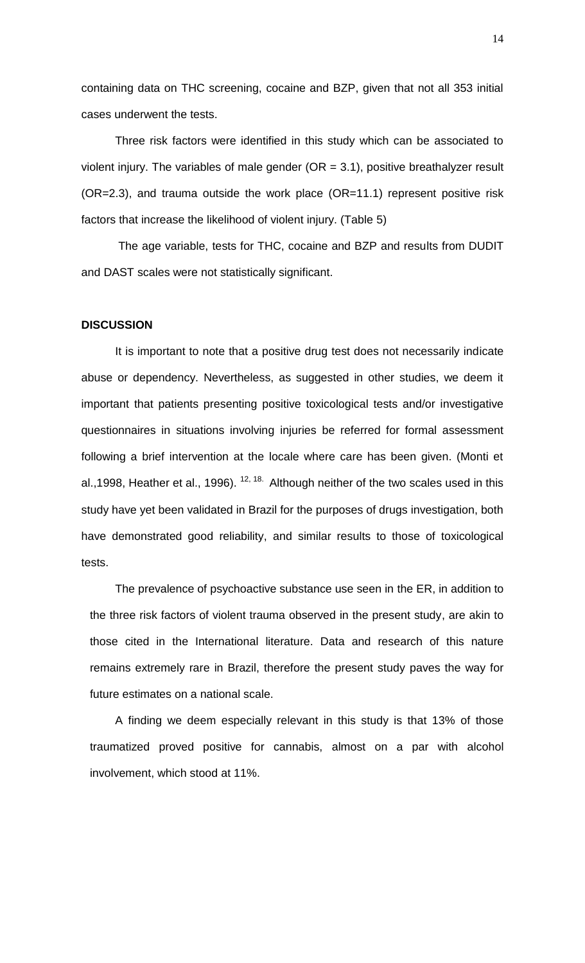containing data on THC screening, cocaine and BZP, given that not all 353 initial cases underwent the tests.

Three risk factors were identified in this study which can be associated to violent injury. The variables of male gender ( $OR = 3.1$ ), positive breathalyzer result (OR=2.3), and trauma outside the work place (OR=11.1) represent positive risk factors that increase the likelihood of violent injury. (Table 5)

The age variable, tests for THC, cocaine and BZP and results from DUDIT and DAST scales were not statistically significant.

#### **DISCUSSION**

It is important to note that a positive drug test does not necessarily indicate abuse or dependency. Nevertheless, as suggested in other studies, we deem it important that patients presenting positive toxicological tests and/or investigative questionnaires in situations involving injuries be referred for formal assessment following a brief intervention at the locale where care has been given. (Monti et al.,1998, Heather et al., 1996).  $12, 18$ . Although neither of the two scales used in this study have yet been validated in Brazil for the purposes of drugs investigation, both have demonstrated good reliability, and similar results to those of toxicological tests.

The prevalence of psychoactive substance use seen in the ER, in addition to the three risk factors of violent trauma observed in the present study, are akin to those cited in the International literature. Data and research of this nature remains extremely rare in Brazil, therefore the present study paves the way for future estimates on a national scale.

A finding we deem especially relevant in this study is that 13% of those traumatized proved positive for cannabis, almost on a par with alcohol involvement, which stood at 11%.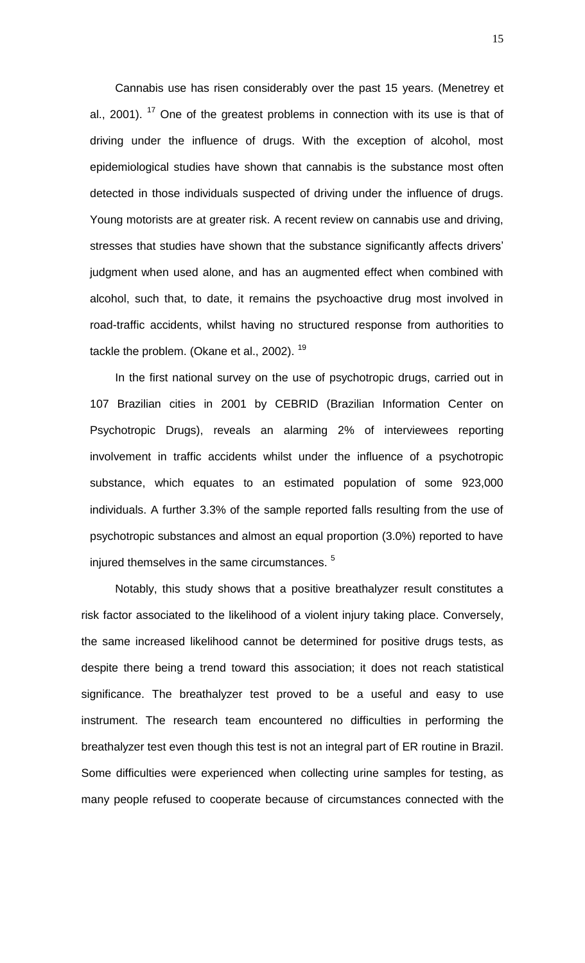Cannabis use has risen considerably over the past 15 years. (Menetrey et al., 2001).  $17$  One of the greatest problems in connection with its use is that of driving under the influence of drugs. With the exception of alcohol, most epidemiological studies have shown that cannabis is the substance most often detected in those individuals suspected of driving under the influence of drugs. Young motorists are at greater risk. A recent review on cannabis use and driving, stresses that studies have shown that the substance significantly affects drivers' judgment when used alone, and has an augmented effect when combined with alcohol, such that, to date, it remains the psychoactive drug most involved in road-traffic accidents, whilst having no structured response from authorities to tackle the problem. (Okane et al., 2002). <sup>19</sup>

In the first national survey on the use of psychotropic drugs, carried out in 107 Brazilian cities in 2001 by CEBRID (Brazilian Information Center on Psychotropic Drugs), reveals an alarming 2% of interviewees reporting involvement in traffic accidents whilst under the influence of a psychotropic substance, which equates to an estimated population of some 923,000 individuals. A further 3.3% of the sample reported falls resulting from the use of psychotropic substances and almost an equal proportion (3.0%) reported to have injured themselves in the same circumstances. <sup>5</sup>

Notably, this study shows that a positive breathalyzer result constitutes a risk factor associated to the likelihood of a violent injury taking place. Conversely, the same increased likelihood cannot be determined for positive drugs tests, as despite there being a trend toward this association; it does not reach statistical significance. The breathalyzer test proved to be a useful and easy to use instrument. The research team encountered no difficulties in performing the breathalyzer test even though this test is not an integral part of ER routine in Brazil. Some difficulties were experienced when collecting urine samples for testing, as many people refused to cooperate because of circumstances connected with the

15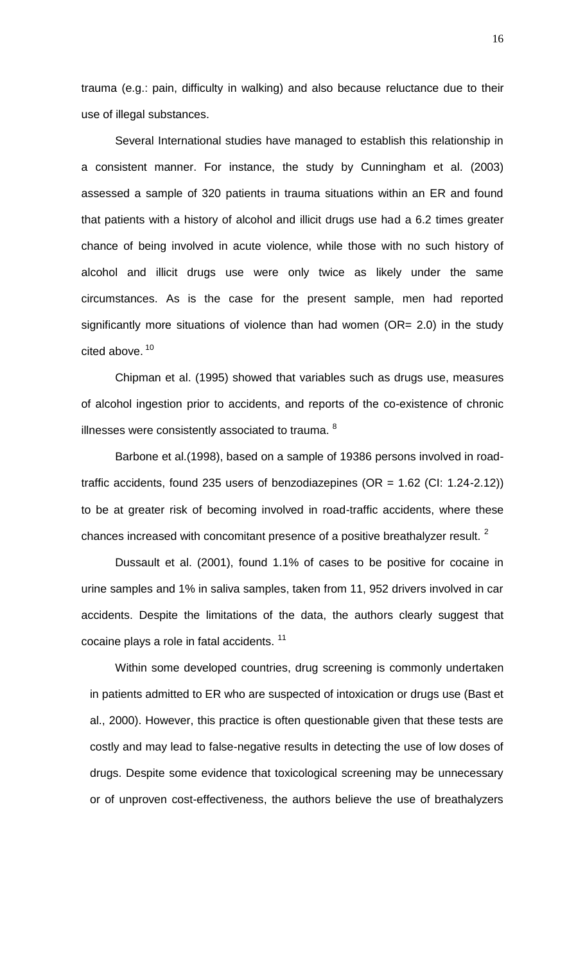trauma (e.g.: pain, difficulty in walking) and also because reluctance due to their use of illegal substances.

Several International studies have managed to establish this relationship in a consistent manner. For instance, the study by Cunningham et al. (2003) assessed a sample of 320 patients in trauma situations within an ER and found that patients with a history of alcohol and illicit drugs use had a 6.2 times greater chance of being involved in acute violence, while those with no such history of alcohol and illicit drugs use were only twice as likely under the same circumstances. As is the case for the present sample, men had reported significantly more situations of violence than had women (OR= 2.0) in the study cited above. 10

Chipman et al. (1995) showed that variables such as drugs use, measures of alcohol ingestion prior to accidents, and reports of the co-existence of chronic illnesses were consistently associated to trauma. <sup>8</sup>

Barbone et al.(1998), based on a sample of 19386 persons involved in roadtraffic accidents, found 235 users of benzodiazepines ( $OR = 1.62$  (CI: 1.24-2.12)) to be at greater risk of becoming involved in road-traffic accidents, where these chances increased with concomitant presence of a positive breathalyzer result.<sup>2</sup>

Dussault et al. (2001), found 1.1% of cases to be positive for cocaine in urine samples and 1% in saliva samples, taken from 11, 952 drivers involved in car accidents. Despite the limitations of the data, the authors clearly suggest that cocaine plays a role in fatal accidents.<sup>11</sup>

Within some developed countries, drug screening is commonly undertaken in patients admitted to ER who are suspected of intoxication or drugs use (Bast et al., 2000). However, this practice is often questionable given that these tests are costly and may lead to false-negative results in detecting the use of low doses of drugs. Despite some evidence that toxicological screening may be unnecessary or of unproven cost-effectiveness, the authors believe the use of breathalyzers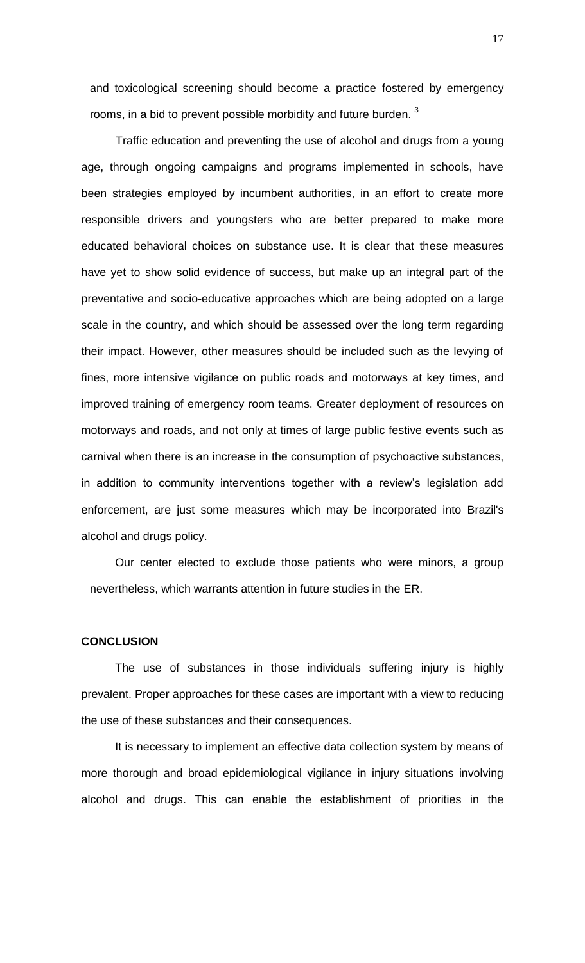and toxicological screening should become a practice fostered by emergency rooms, in a bid to prevent possible morbidity and future burden.<sup>3</sup>

Traffic education and preventing the use of alcohol and drugs from a young age, through ongoing campaigns and programs implemented in schools, have been strategies employed by incumbent authorities, in an effort to create more responsible drivers and youngsters who are better prepared to make more educated behavioral choices on substance use. It is clear that these measures have yet to show solid evidence of success, but make up an integral part of the preventative and socio-educative approaches which are being adopted on a large scale in the country, and which should be assessed over the long term regarding their impact. However, other measures should be included such as the levying of fines, more intensive vigilance on public roads and motorways at key times, and improved training of emergency room teams. Greater deployment of resources on motorways and roads, and not only at times of large public festive events such as carnival when there is an increase in the consumption of psychoactive substances, in addition to community interventions together with a review's legislation add enforcement, are just some measures which may be incorporated into Brazil's alcohol and drugs policy.

Our center elected to exclude those patients who were minors, a group nevertheless, which warrants attention in future studies in the ER.

### **CONCLUSION**

The use of substances in those individuals suffering injury is highly prevalent. Proper approaches for these cases are important with a view to reducing the use of these substances and their consequences.

It is necessary to implement an effective data collection system by means of more thorough and broad epidemiological vigilance in injury situations involving alcohol and drugs. This can enable the establishment of priorities in the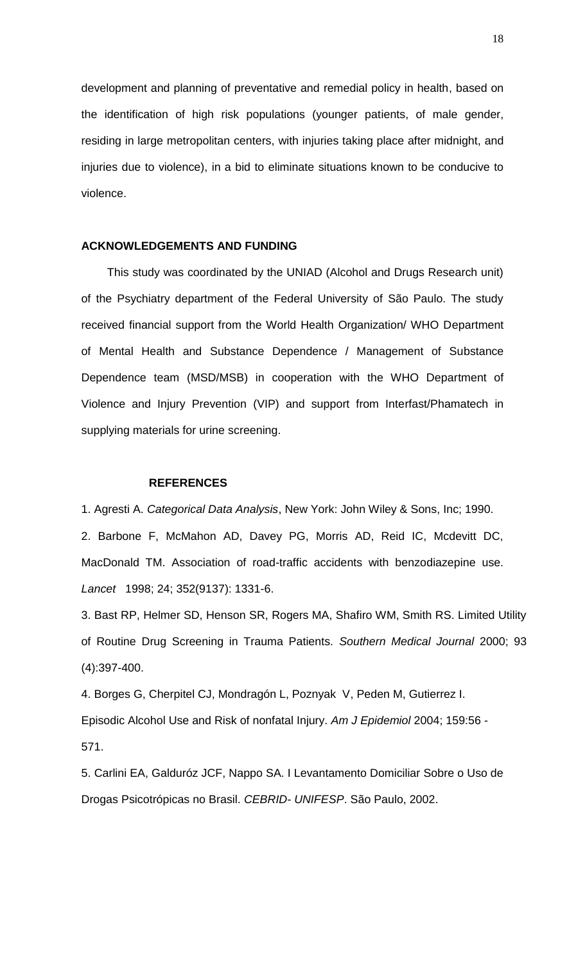development and planning of preventative and remedial policy in health, based on the identification of high risk populations (younger patients, of male gender, residing in large metropolitan centers, with injuries taking place after midnight, and injuries due to violence), in a bid to eliminate situations known to be conducive to violence.

#### **ACKNOWLEDGEMENTS AND FUNDING**

This study was coordinated by the UNIAD (Alcohol and Drugs Research unit) of the Psychiatry department of the Federal University of São Paulo. The study received financial support from the World Health Organization/ WHO Department of Mental Health and Substance Dependence / Management of Substance Dependence team (MSD/MSB) in cooperation with the WHO Department of Violence and Injury Prevention (VIP) and support from Interfast/Phamatech in supplying materials for urine screening.

#### **REFERENCES**

1. Agresti A. *Categorical Data Analysis*, New York: John Wiley & Sons, Inc; 1990.

2. Barbone F, McMahon AD, Davey PG, Morris AD, Reid IC, Mcdevitt DC, MacDonald TM. Association of road-traffic accidents with benzodiazepine use. *Lancet* 1998; 24; 352(9137): 1331-6.

3. Bast RP, Helmer SD, Henson SR, Rogers MA, Shafiro WM, Smith RS. Limited Utility of Routine Drug Screening in Trauma Patients. *Southern Medical Journal* 2000; 93 (4):397-400.

4. Borges G, Cherpitel CJ, Mondragón L, Poznyak V, Peden M, Gutierrez I. Episodic Alcohol Use and Risk of nonfatal Injury. *Am J Epidemiol* 2004; 159:56 - 571.

5. Carlini EA, Galduróz JCF, Nappo SA. I Levantamento Domiciliar Sobre o Uso de Drogas Psicotrópicas no Brasil. *CEBRID- UNIFESP*. São Paulo, 2002.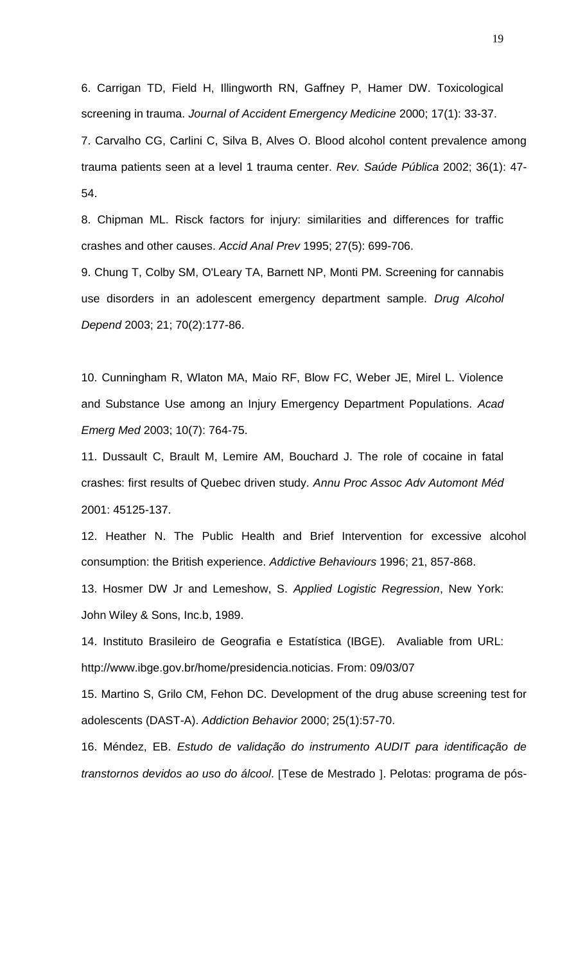6. Carrigan TD, Field H, Illingworth RN, Gaffney P, Hamer DW. Toxicological screening in trauma. *Journal of Accident Emergency Medicine* 2000; 17(1): 33-37.

7. Carvalho CG, Carlini C, Silva B, Alves O. Blood alcohol content prevalence among trauma patients seen at a level 1 trauma center. *Rev. Saúde Pública* 2002; 36(1): 47- 54.

8. Chipman ML. Risck factors for injury: similarities and differences for traffic crashes and other causes. *Accid Anal Prev* 1995; 27(5): 699-706.

9. Chung T, Colby SM, O'Leary TA, Barnett NP, Monti PM. Screening for cannabis use disorders in an adolescent emergency department sample. *Drug Alcohol Depend* 2003; 21; 70(2):177-86.

10. Cunningham R, Wlaton MA, Maio RF, Blow FC, Weber JE, Mirel L. Violence and Substance Use among an Injury Emergency Department Populations. *Acad Emerg Med* 2003; 10(7): 764-75.

11. Dussault C, Brault M, Lemire AM, Bouchard J. The role of cocaine in fatal crashes: first results of Quebec driven study. *Annu Proc Assoc Adv Automont Méd*  2001: 45125-137.

12. Heather N. The Public Health and Brief Intervention for excessive alcohol consumption: the British experience. *Addictive Behaviours* 1996; 21, 857-868.

13. Hosmer DW Jr and Lemeshow, S. *Applied Logistic Regression*, New York: John Wiley & Sons, Inc.b, 1989.

14. Instituto Brasileiro de Geografia e Estatística (IBGE). Avaliable from URL: [http://www.ibge.gov.br/home/presidencia.noticias.](http://www.ibge.gov.br/home/presidencia.noticias) From: 09/03/07

15. Martino S, Grilo CM, Fehon DC. Development of the drug abuse screening test for adolescents (DAST-A). *Addiction Behavior* 2000; 25(1):57-70.

16. Méndez, EB. *Estudo de validação do instrumento AUDIT para identificação de transtornos devidos ao uso do álcool.* [Tese de Mestrado ]. Pelotas: programa de pós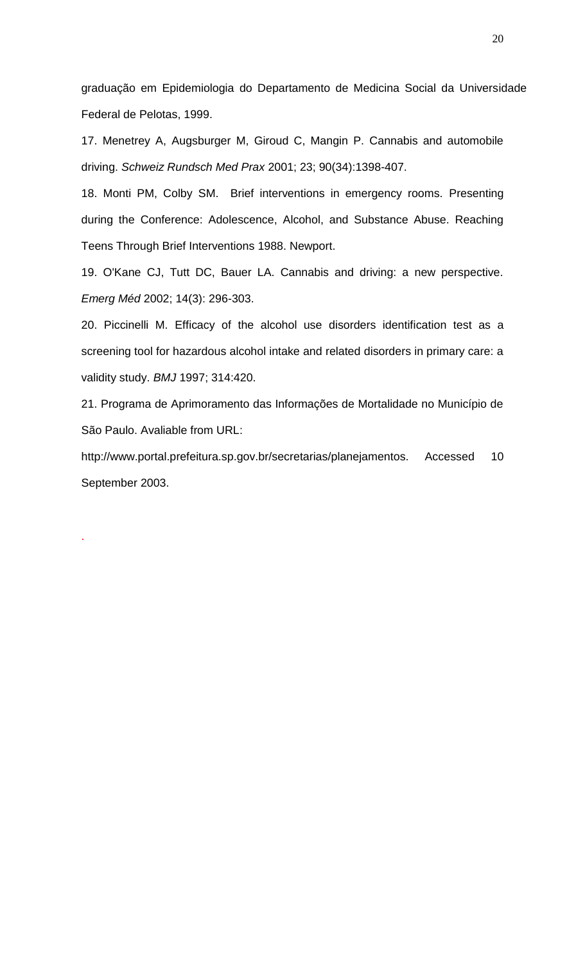graduação em Epidemiologia do Departamento de Medicina Social da Universidade Federal de Pelotas, 1999.

17. Menetrey A, Augsburger M, Giroud C, Mangin P. Cannabis and automobile driving. *Schweiz Rundsch Med Prax* 2001; 23; 90(34):1398-407.

18. Monti PM, Colby SM. Brief interventions in emergency rooms. Presenting during the Conference: Adolescence, Alcohol, and Substance Abuse. Reaching Teens Through Brief Interventions 1988. Newport.

19. O'Kane CJ, Tutt DC, Bauer LA. Cannabis and driving: a new perspective. *Emerg Méd* 2002; 14(3): 296-303.

20. Piccinelli M. Efficacy of the alcohol use disorders identification test as a screening tool for hazardous alcohol intake and related disorders in primary care: a validity study. *BMJ* 1997; 314:420.

21. Programa de Aprimoramento das Informações de Mortalidade no Município de São Paulo. Avaliable from URL:

[http://www.portal.prefeitura.sp.gov.br/secretarias/planejamentos. Accessed](http://www.portal.prefeitura.sp.gov.br/secretarias/planejamentos.Accessed) 10 September 2003.

.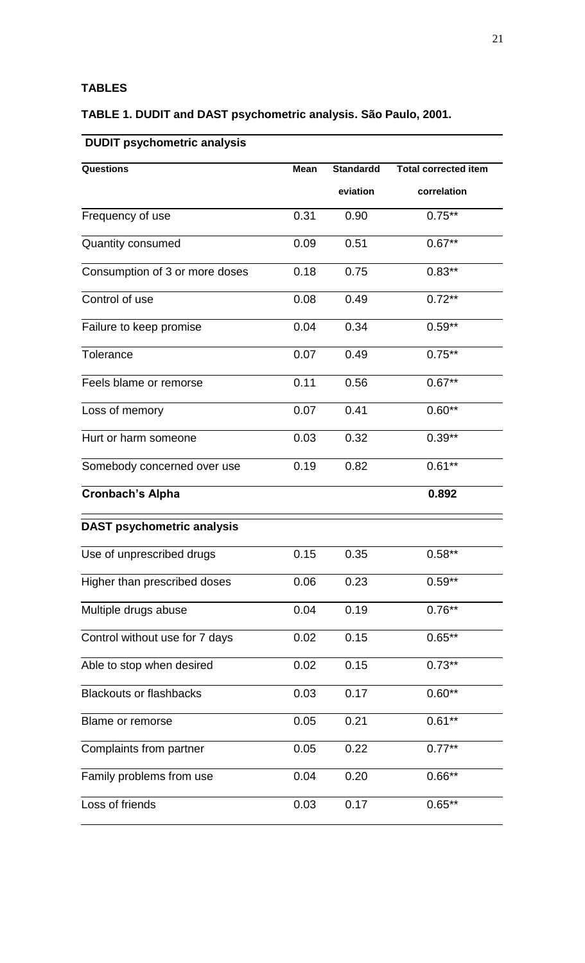# **TABLES**

# **TABLE 1. DUDIT and DAST psychometric analysis. São Paulo, 2001.**

# **DUDIT psychometric analysis**

| <b>Questions</b>                  | <b>Mean</b> | <b>Standardd</b> | <b>Total corrected item</b> |
|-----------------------------------|-------------|------------------|-----------------------------|
|                                   |             | eviation         | correlation                 |
| Frequency of use                  | 0.31        | 0.90             | $0.75**$                    |
| Quantity consumed                 | 0.09        | 0.51             | $0.67**$                    |
| Consumption of 3 or more doses    | 0.18        | 0.75             | $0.83**$                    |
| Control of use                    | 0.08        | 0.49             | $0.72***$                   |
| Failure to keep promise           | 0.04        | 0.34             | $0.59**$                    |
| <b>Tolerance</b>                  | 0.07        | 0.49             | $0.75***$                   |
| Feels blame or remorse            | 0.11        | 0.56             | $0.67**$                    |
| Loss of memory                    | 0.07        | 0.41             | $0.60**$                    |
| Hurt or harm someone              | 0.03        | 0.32             | $0.39**$                    |
| Somebody concerned over use       | 0.19        | 0.82             | $0.61**$                    |
| <b>Cronbach's Alpha</b>           |             |                  | 0.892                       |
| <b>DAST psychometric analysis</b> |             |                  |                             |
| Use of unprescribed drugs         | 0.15        | 0.35             | $0.58**$                    |
| Higher than prescribed doses      | 0.06        | 0.23             | $0.59**$                    |
| Multiple drugs abuse              | 0.04        | 0.19             | $0.76**$                    |
| Control without use for 7 days    | 0.02        | 0.15             | $0.65***$                   |
| Able to stop when desired         | 0.02        | 0.15             | $0.73**$                    |
| <b>Blackouts or flashbacks</b>    | 0.03        | 0.17             | $0.60**$                    |
| Blame or remorse                  | 0.05        | 0.21             | $0.61**$                    |
| Complaints from partner           | 0.05        | 0.22             | $0.77**$                    |
| Family problems from use          | 0.04        | 0.20             | $0.66**$                    |
| Loss of friends                   | 0.03        | 0.17             | $0.65**$                    |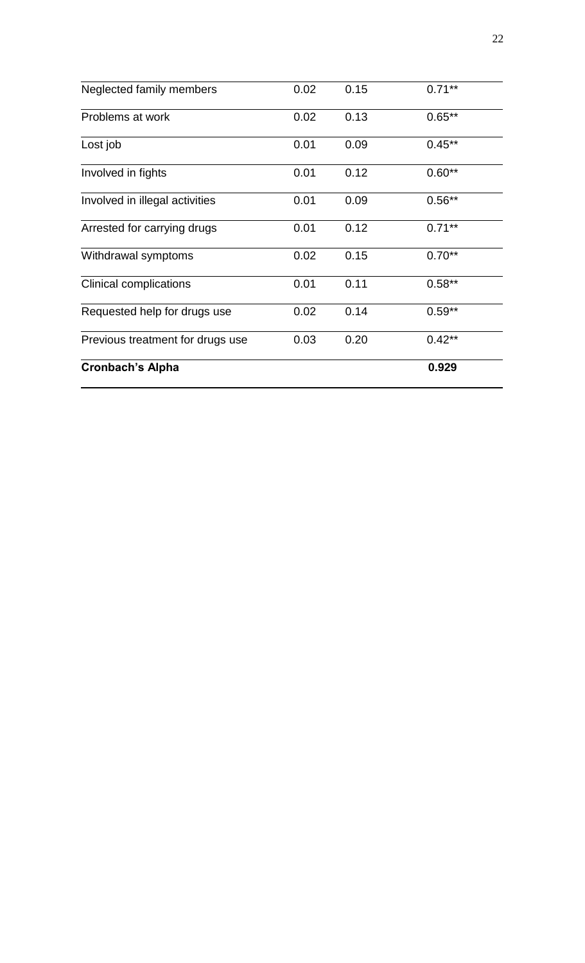| Neglected family members         | 0.02 | 0.15 | $0.71**$  |
|----------------------------------|------|------|-----------|
| Problems at work                 | 0.02 | 0.13 | $0.65**$  |
| Lost job                         | 0.01 | 0.09 | $0.45***$ |
| Involved in fights               | 0.01 | 0.12 | $0.60**$  |
| Involved in illegal activities   | 0.01 | 0.09 | $0.56**$  |
| Arrested for carrying drugs      | 0.01 | 0.12 | $0.71***$ |
| Withdrawal symptoms              | 0.02 | 0.15 | $0.70**$  |
| <b>Clinical complications</b>    | 0.01 | 0.11 | $0.58**$  |
| Requested help for drugs use     | 0.02 | 0.14 | $0.59**$  |
| Previous treatment for drugs use | 0.03 | 0.20 | $0.42**$  |
| <b>Cronbach's Alpha</b>          |      |      | 0.929     |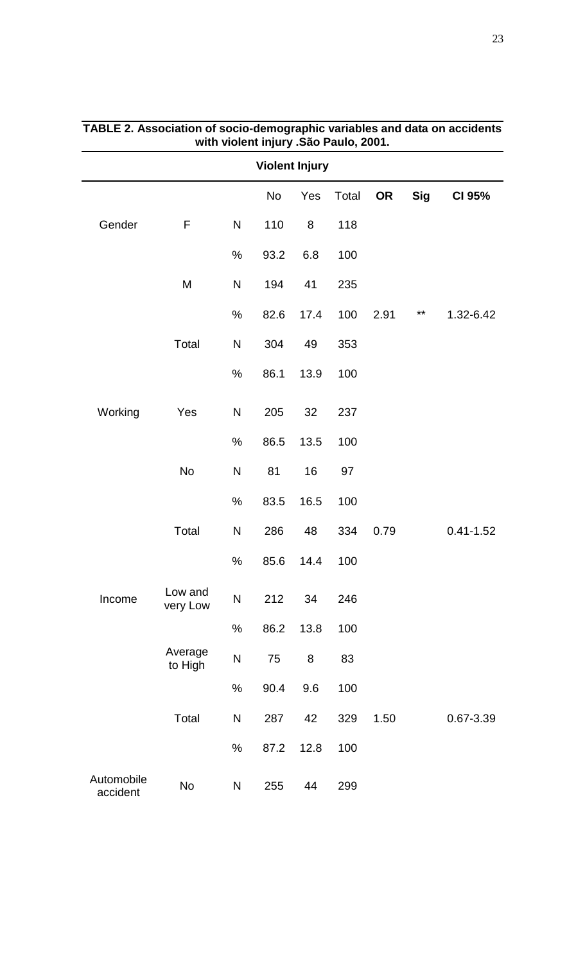| <b>Violent Injury</b>  |                     |              |           |      |       |           |            |               |  |
|------------------------|---------------------|--------------|-----------|------|-------|-----------|------------|---------------|--|
|                        |                     |              | <b>No</b> | Yes  | Total | <b>OR</b> | <b>Sig</b> | CI 95%        |  |
| Gender                 | F                   | ${\sf N}$    | 110       | 8    | 118   |           |            |               |  |
|                        |                     | $\%$         | 93.2      | 6.8  | 100   |           |            |               |  |
|                        | M                   | $\mathsf{N}$ | 194       | 41   | 235   |           |            |               |  |
|                        |                     | $\%$         | 82.6      | 17.4 | 100   | 2.91      | $***$      | 1.32-6.42     |  |
|                        | Total               | ${\sf N}$    | 304       | 49   | 353   |           |            |               |  |
|                        |                     | $\%$         | 86.1      | 13.9 | 100   |           |            |               |  |
| Working                | Yes                 | ${\sf N}$    | 205       | 32   | 237   |           |            |               |  |
|                        |                     | $\%$         | 86.5      | 13.5 | 100   |           |            |               |  |
|                        | <b>No</b>           | ${\sf N}$    | 81        | 16   | 97    |           |            |               |  |
|                        |                     | $\%$         | 83.5      | 16.5 | 100   |           |            |               |  |
|                        | Total               | ${\sf N}$    | 286       | 48   | 334   | 0.79      |            | $0.41 - 1.52$ |  |
|                        |                     | $\%$         | 85.6      | 14.4 | 100   |           |            |               |  |
| Income                 | Low and<br>very Low | $\mathsf{N}$ | 212       | 34   | 246   |           |            |               |  |
|                        |                     | $\%$         | 86.2      | 13.8 | 100   |           |            |               |  |
|                        | Average<br>to High  | ${\sf N}$    | 75        | 8    | 83    |           |            |               |  |
|                        |                     | $\%$         | 90.4      | 9.6  | 100   |           |            |               |  |
|                        | Total               | N            | 287       | 42   | 329   | 1.50      |            | 0.67-3.39     |  |
|                        |                     | $\%$         | 87.2      | 12.8 | 100   |           |            |               |  |
| Automobile<br>accident | <b>No</b>           | N            | 255       | 44   | 299   |           |            |               |  |

# **TABLE 2. Association of socio-demographic variables and data on accidents with violent injury .São Paulo, 2001.**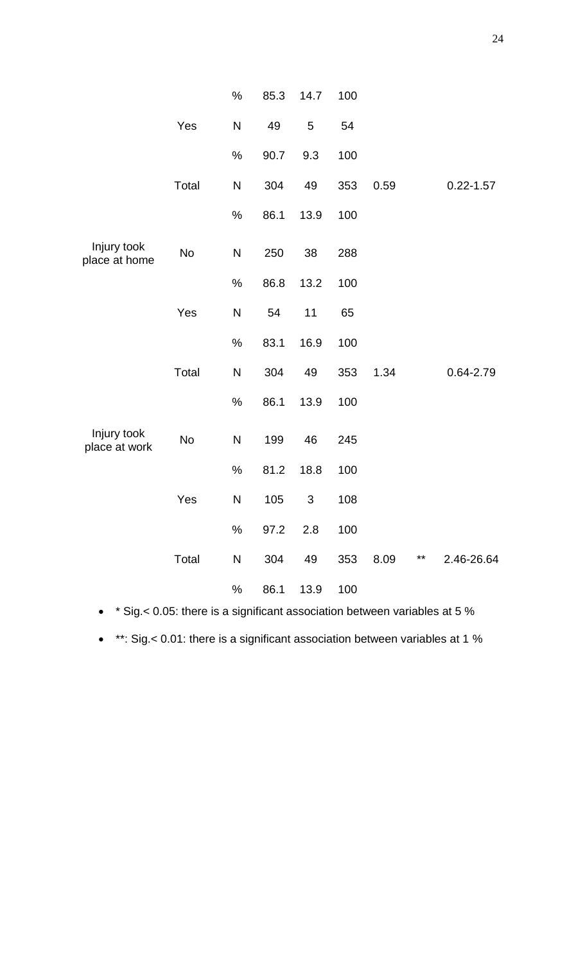|                              |           | $\%$         | 85.3 | 14.7       | 100 |      |                   |
|------------------------------|-----------|--------------|------|------------|-----|------|-------------------|
|                              | Yes       | N            | 49   | $\sqrt{5}$ | 54  |      |                   |
|                              |           | $\%$         | 90.7 | 9.3        | 100 |      |                   |
|                              | Total     | ${\sf N}$    | 304  | 49         | 353 | 0.59 | $0.22 - 1.57$     |
|                              |           | $\%$         | 86.1 | 13.9       | 100 |      |                   |
| Injury took<br>place at home | <b>No</b> | ${\sf N}$    | 250  | 38         | 288 |      |                   |
|                              |           | $\%$         | 86.8 | 13.2       | 100 |      |                   |
|                              | Yes       | $\mathsf{N}$ | 54   | 11         | 65  |      |                   |
|                              |           | $\%$         | 83.1 | 16.9       | 100 |      |                   |
|                              | Total     | N            | 304  | 49         | 353 | 1.34 | 0.64-2.79         |
|                              |           | $\%$         | 86.1 | 13.9       | 100 |      |                   |
| Injury took<br>place at work | <b>No</b> | ${\sf N}$    | 199  | 46         | 245 |      |                   |
|                              |           | $\%$         | 81.2 | 18.8       | 100 |      |                   |
|                              | Yes       | ${\sf N}$    | 105  | 3          | 108 |      |                   |
|                              |           | $\%$         | 97.2 | 2.8        | 100 |      |                   |
|                              | Total     | N            | 304  | 49         | 353 | 8.09 | ** $2.46 - 26.64$ |
|                              |           | $\%$         | 86.1 | 13.9       | 100 |      |                   |

• \* Sig.< 0.05: there is a significant association between variables at 5 %

• \*\*: Sig.< 0.01: there is a significant association between variables at 1 %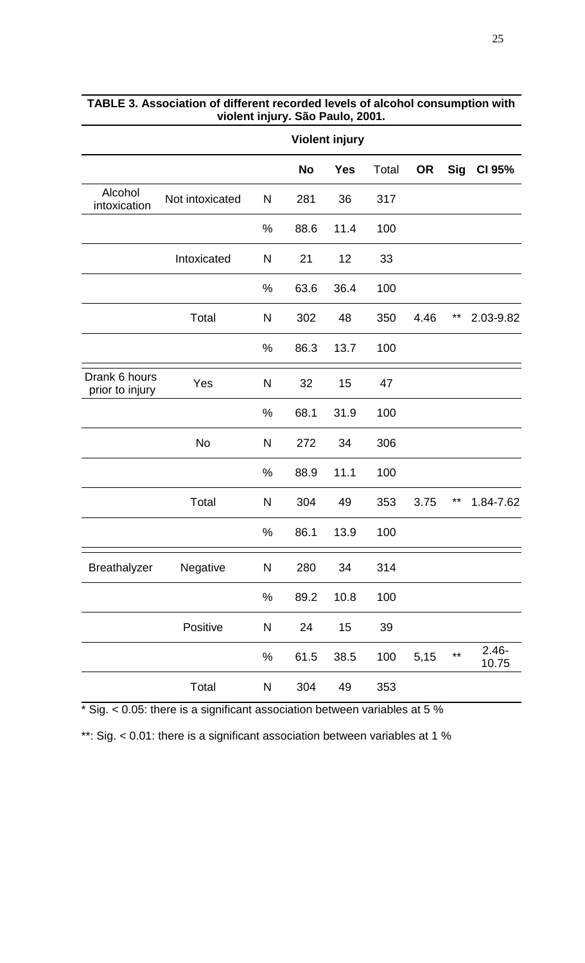|                                  |                 |               | <b>Violent injury</b> |            |       |           |            |                   |  |  |  |
|----------------------------------|-----------------|---------------|-----------------------|------------|-------|-----------|------------|-------------------|--|--|--|
|                                  |                 |               | <b>No</b>             | <b>Yes</b> | Total | <b>OR</b> | <b>Sig</b> | CI 95%            |  |  |  |
| Alcohol<br>intoxication          | Not intoxicated | $\mathsf{N}$  | 281                   | 36         | 317   |           |            |                   |  |  |  |
|                                  |                 | $\%$          | 88.6                  | 11.4       | 100   |           |            |                   |  |  |  |
|                                  | Intoxicated     | N             | 21                    | 12         | 33    |           |            |                   |  |  |  |
|                                  |                 | %             | 63.6                  | 36.4       | 100   |           |            |                   |  |  |  |
|                                  | Total           | $\mathsf{N}$  | 302                   | 48         | 350   | 4.46      | $***$      | 2.03-9.82         |  |  |  |
|                                  |                 | $\frac{0}{0}$ | 86.3                  | 13.7       | 100   |           |            |                   |  |  |  |
| Drank 6 hours<br>prior to injury | Yes             | $\mathsf{N}$  | 32                    | 15         | 47    |           |            |                   |  |  |  |
|                                  |                 | $\%$          | 68.1                  | 31.9       | 100   |           |            |                   |  |  |  |
|                                  | <b>No</b>       | N             | 272                   | 34         | 306   |           |            |                   |  |  |  |
|                                  |                 | %             | 88.9                  | 11.1       | 100   |           |            |                   |  |  |  |
|                                  | Total           | $\mathsf{N}$  | 304                   | 49         | 353   | 3.75      | **         | 1.84-7.62         |  |  |  |
|                                  |                 | %             | 86.1                  | 13.9       | 100   |           |            |                   |  |  |  |
| <b>Breathalyzer</b>              | Negative        | ${\sf N}$     | 280                   | 34         | 314   |           |            |                   |  |  |  |
|                                  |                 | $\%$          | 89.2                  | 10.8       | 100   |           |            |                   |  |  |  |
|                                  | Positive        | ${\sf N}$     | 24                    | 15         | 39    |           |            |                   |  |  |  |
|                                  |                 | $\%$          | 61.5                  | 38.5       | 100   | 5,15      | $***$      | $2.46 -$<br>10.75 |  |  |  |
|                                  | Total           | ${\sf N}$     | 304                   | 49         | 353   |           |            |                   |  |  |  |

# **TABLE 3. Association of different recorded levels of alcohol consumption with violent injury. São Paulo, 2001.**

\* Sig. < 0.05: there is a significant association between variables at 5 %

\*\*: Sig. < 0.01: there is a significant association between variables at 1 %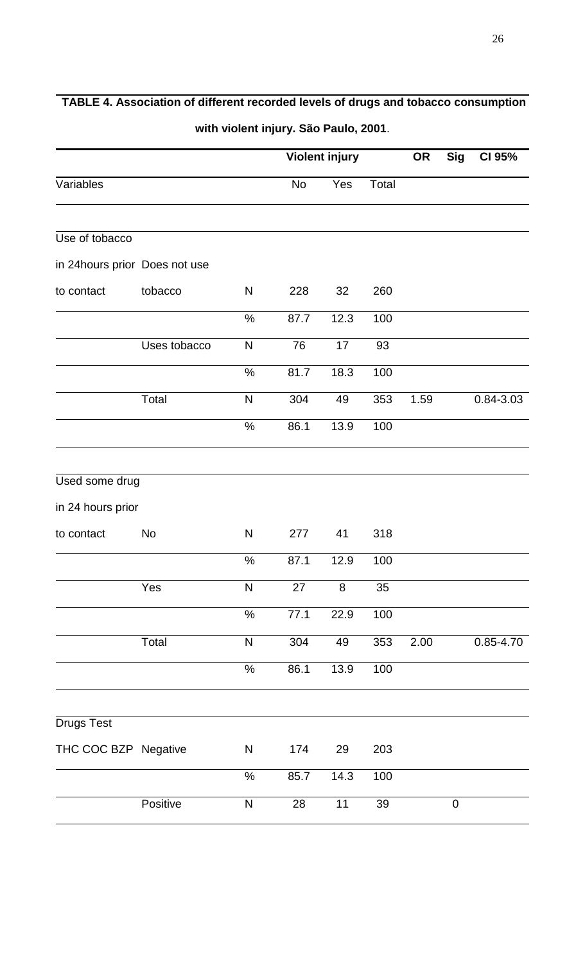|                               |              |               |                                                                                                                                 |      |       | <b>OR</b> | <b>Sig</b>       | CI 95%    |
|-------------------------------|--------------|---------------|---------------------------------------------------------------------------------------------------------------------------------|------|-------|-----------|------------------|-----------|
| Variables                     |              |               | No                                                                                                                              | Yes  | Total |           |                  |           |
| Use of tobacco                |              |               |                                                                                                                                 |      |       |           |                  |           |
| in 24hours prior Does not use |              |               |                                                                                                                                 |      |       |           |                  |           |
| to contact                    | tobacco      | $\mathsf{N}$  | 228                                                                                                                             | 32   | 260   |           |                  |           |
|                               |              | $\%$          | 87.7                                                                                                                            | 12.3 | 100   |           |                  |           |
|                               | Uses tobacco | N             | 76                                                                                                                              | 17   | 93    |           |                  |           |
|                               |              | $\%$          | 81.7                                                                                                                            | 18.3 | 100   |           |                  |           |
|                               | Total        | $\mathsf{N}$  | 304                                                                                                                             | 49   | 353   | 1.59      |                  | 0.84-3.03 |
|                               |              | $\%$          | 86.1                                                                                                                            | 13.9 | 100   |           |                  |           |
| Used some drug                |              |               |                                                                                                                                 |      |       |           |                  |           |
| in 24 hours prior             |              |               |                                                                                                                                 |      |       |           |                  |           |
| to contact                    | No           | N             | 277                                                                                                                             | 41   | 318   |           |                  |           |
|                               |              | $\%$          | 87.1                                                                                                                            | 12.9 | 100   |           |                  |           |
|                               | Yes          | ${\sf N}$     | 27                                                                                                                              | 8    | 35    |           |                  |           |
|                               |              | $\%$          | 77.1                                                                                                                            | 22.9 | 100   |           |                  |           |
|                               | Total        | $\mathsf{N}$  | 304                                                                                                                             | 49   | 353   | 2.00      |                  | 0.85-4.70 |
|                               |              | $\frac{1}{2}$ | 86.1                                                                                                                            | 13.9 | 100   |           |                  |           |
|                               |              |               |                                                                                                                                 |      |       |           |                  |           |
| <b>Drugs Test</b>             |              |               |                                                                                                                                 |      |       |           |                  |           |
| THC COC BZP Negative          |              | ${\sf N}$     | $m(n)$ violent in jury. Out I adio, 2001.<br><b>Violent injury</b><br>203<br>174<br>29<br>85.7<br>14.3<br>100<br>28<br>11<br>39 |      |       |           |                  |           |
|                               |              | $\%$          |                                                                                                                                 |      |       |           |                  |           |
|                               | Positive     | ${\sf N}$     |                                                                                                                                 |      |       |           | $\boldsymbol{0}$ |           |

# **TABLE 4. Association of different recorded levels of drugs and tobacco consumption**

**with violent injury. São Paulo, 2001**.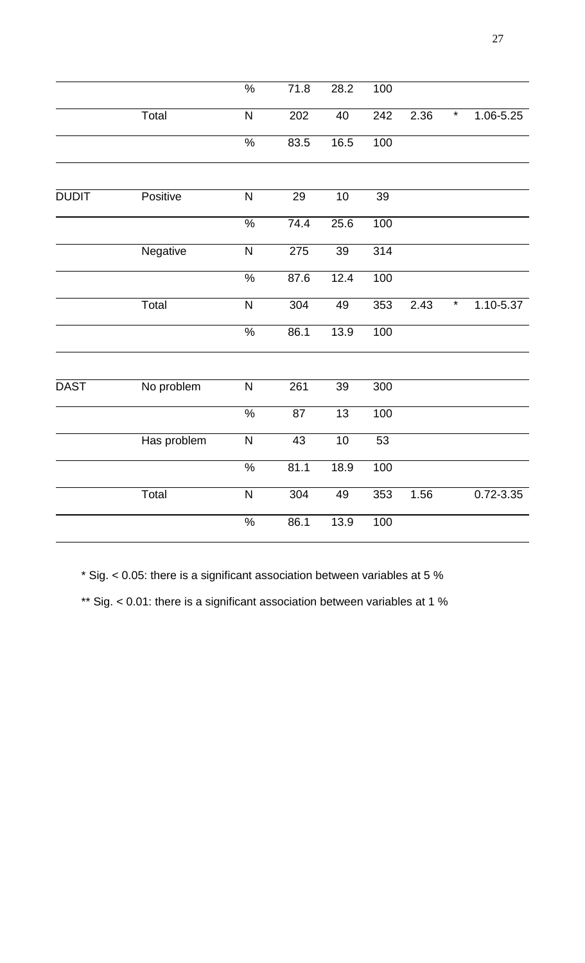|              |             | $\frac{1}{2}$           | 71.8 | 28.2            | 100 |      |         |               |
|--------------|-------------|-------------------------|------|-----------------|-----|------|---------|---------------|
|              | Total       | N                       | 202  | 40              | 242 | 2.36 | $\ast$  | 1.06-5.25     |
|              |             | $\frac{9}{6}$           | 83.5 | 16.5            | 100 |      |         |               |
|              |             |                         |      |                 |     |      |         |               |
| <b>DUDIT</b> | Positive    | $\overline{\mathsf{N}}$ | 29   | 10              | 39  |      |         |               |
|              |             | $\frac{1}{2}$           | 74.4 | 25.6            | 100 |      |         |               |
|              | Negative    | $\mathsf{N}$            | 275  | $\overline{39}$ | 314 |      |         |               |
|              |             | $\frac{1}{2}$           | 87.6 | 12.4            | 100 |      |         |               |
|              | Total       | $\overline{\mathsf{N}}$ | 304  | 49              | 353 | 2.43 | $\star$ | 1.10-5.37     |
|              |             | $\frac{9}{6}$           | 86.1 | 13.9            | 100 |      |         |               |
|              |             |                         |      |                 |     |      |         |               |
| <b>DAST</b>  | No problem  | $\overline{\mathsf{N}}$ | 261  | 39              | 300 |      |         |               |
|              |             | $\frac{9}{6}$           | 87   | 13              | 100 |      |         |               |
|              | Has problem | $\overline{\mathsf{N}}$ | 43   | 10              | 53  |      |         |               |
|              |             | $\frac{0}{6}$           | 81.1 | 18.9            | 100 |      |         |               |
|              | Total       | $\overline{\mathsf{N}}$ | 304  | 49              | 353 | 1.56 |         | $0.72 - 3.35$ |
|              |             | $\frac{1}{2}$           | 86.1 | 13.9            | 100 |      |         |               |
|              |             |                         |      |                 |     |      |         |               |

\* Sig. < 0.05: there is a significant association between variables at 5 %

\*\* Sig. < 0.01: there is a significant association between variables at 1 %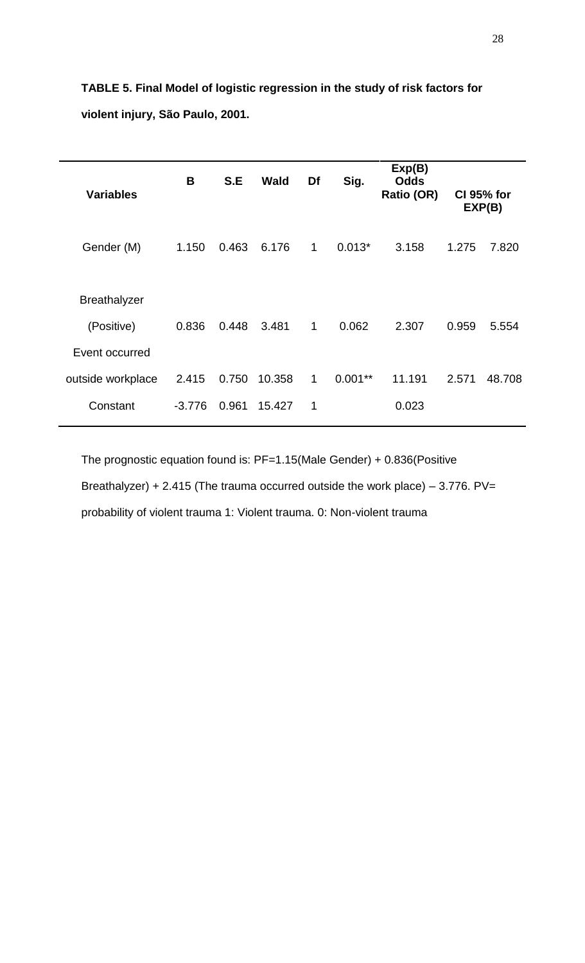| <b>Variables</b>    | B        | S.E   | <b>Wald</b> | Df           | Sig.      | Exp(B)<br><b>Odds</b><br>Ratio (OR) |       | <b>CI 95% for</b><br>EXP(B) |
|---------------------|----------|-------|-------------|--------------|-----------|-------------------------------------|-------|-----------------------------|
| Gender (M)          | 1.150    | 0.463 | 6.176       | $\mathbf{1}$ | $0.013*$  | 3.158                               | 1.275 | 7.820                       |
| <b>Breathalyzer</b> |          |       |             |              |           |                                     |       |                             |
| (Positive)          | 0.836    | 0.448 | 3.481       | $\mathbf{1}$ | 0.062     | 2.307                               | 0.959 | 5.554                       |
| Event occurred      |          |       |             |              |           |                                     |       |                             |
| outside workplace   | 2.415    | 0.750 | 10.358      | 1            | $0.001**$ | 11.191                              | 2.571 | 48.708                      |
| Constant            | $-3.776$ | 0.961 | 15.427      | 1            |           | 0.023                               |       |                             |
|                     |          |       |             |              |           |                                     |       |                             |

**TABLE 5. Final Model of logistic regression in the study of risk factors for violent injury, São Paulo, 2001.** 

The prognostic equation found is: PF=1.15(Male Gender) + 0.836(Positive Breathalyzer) + 2.415 (The trauma occurred outside the work place)  $-$  3.776. PV= probability of violent trauma 1: Violent trauma. 0: Non-violent trauma